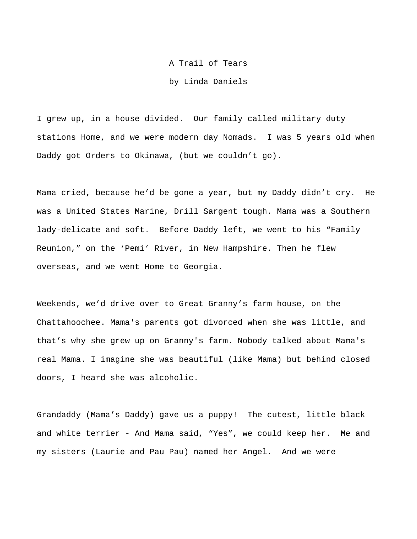## A Trail of Tears

by Linda Daniels

I grew up, in a house divided. Our family called military duty stations Home, and we were modern day Nomads. I was 5 years old when Daddy got Orders to Okinawa, (but we couldn't go).

Mama cried, because he'd be gone a year, but my Daddy didn't cry. He was a United States Marine, Drill Sargent tough. Mama was a Southern lady-delicate and soft. Before Daddy left, we went to his "Family Reunion," on the 'Pemi' River, in New Hampshire. Then he flew overseas, and we went Home to Georgia.

Weekends, we'd drive over to Great Granny's farm house, on the Chattahoochee. Mama's parents got divorced when she was little, and that's why she grew up on Granny's farm. Nobody talked about Mama's real Mama. I imagine she was beautiful (like Mama) but behind closed doors, I heard she was alcoholic.

Grandaddy (Mama's Daddy) gave us a puppy! The cutest, little black and white terrier - And Mama said, "Yes", we could keep her. Me and my sisters (Laurie and Pau Pau) named her Angel. And we were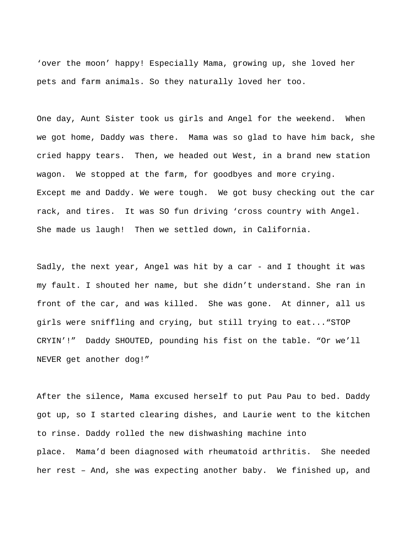'over the moon' happy! Especially Mama, growing up, she loved her pets and farm animals. So they naturally loved her too.

One day, Aunt Sister took us girls and Angel for the weekend. When we got home, Daddy was there. Mama was so glad to have him back, she cried happy tears. Then, we headed out West, in a brand new station wagon. We stopped at the farm, for goodbyes and more crying. Except me and Daddy. We were tough. We got busy checking out the car rack, and tires. It was SO fun driving 'cross country with Angel. She made us laugh! Then we settled down, in California.

Sadly, the next year, Angel was hit by a car - and I thought it was my fault. I shouted her name, but she didn't understand. She ran in front of the car, and was killed. She was gone. At dinner, all us girls were sniffling and crying, but still trying to eat..."STOP CRYIN'!" Daddy SHOUTED, pounding his fist on the table. "Or we'll NEVER get another dog!"

After the silence, Mama excused herself to put Pau Pau to bed. Daddy got up, so I started clearing dishes, and Laurie went to the kitchen to rinse. Daddy rolled the new dishwashing machine into place. Mama'd been diagnosed with rheumatoid arthritis. She needed her rest – And, she was expecting another baby. We finished up, and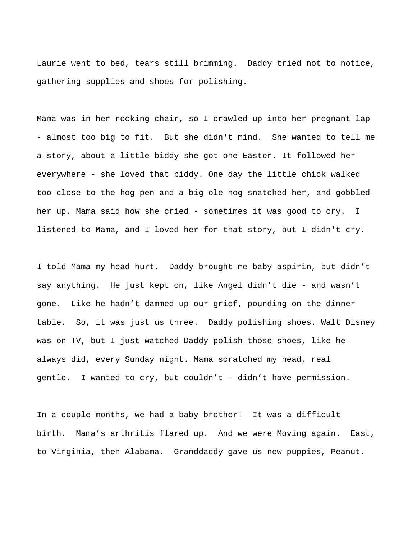Laurie went to bed, tears still brimming. Daddy tried not to notice, gathering supplies and shoes for polishing.

Mama was in her rocking chair, so I crawled up into her pregnant lap - almost too big to fit. But she didn't mind. She wanted to tell me a story, about a little biddy she got one Easter. It followed her everywhere - she loved that biddy. One day the little chick walked too close to the hog pen and a big ole hog snatched her, and gobbled her up. Mama said how she cried - sometimes it was good to cry. I listened to Mama, and I loved her for that story, but I didn't cry.

I told Mama my head hurt. Daddy brought me baby aspirin, but didn't say anything. He just kept on, like Angel didn't die - and wasn't gone. Like he hadn't dammed up our grief, pounding on the dinner table. So, it was just us three. Daddy polishing shoes. Walt Disney was on TV, but I just watched Daddy polish those shoes, like he always did, every Sunday night. Mama scratched my head, real gentle. I wanted to cry, but couldn't - didn't have permission.

In a couple months, we had a baby brother! It was a difficult birth. Mama's arthritis flared up. And we were Moving again. East, to Virginia, then Alabama. Granddaddy gave us new puppies, Peanut.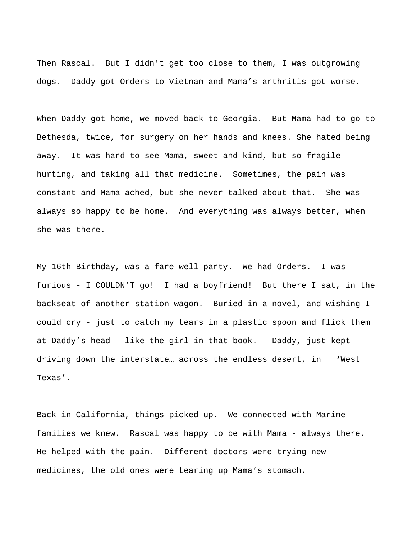Then Rascal. But I didn't get too close to them, I was outgrowing dogs. Daddy got Orders to Vietnam and Mama's arthritis got worse.

When Daddy got home, we moved back to Georgia. But Mama had to go to Bethesda, twice, for surgery on her hands and knees. She hated being away. It was hard to see Mama, sweet and kind, but so fragile – hurting, and taking all that medicine. Sometimes, the pain was constant and Mama ached, but she never talked about that. She was always so happy to be home. And everything was always better, when she was there.

My 16th Birthday, was a fare-well party. We had Orders. I was furious - I COULDN'T go! I had a boyfriend! But there I sat, in the backseat of another station wagon. Buried in a novel, and wishing I could cry - just to catch my tears in a plastic spoon and flick them at Daddy's head - like the girl in that book. Daddy, just kept driving down the interstate… across the endless desert, in 'West Texas'.

Back in California, things picked up. We connected with Marine families we knew. Rascal was happy to be with Mama - always there. He helped with the pain. Different doctors were trying new medicines, the old ones were tearing up Mama's stomach.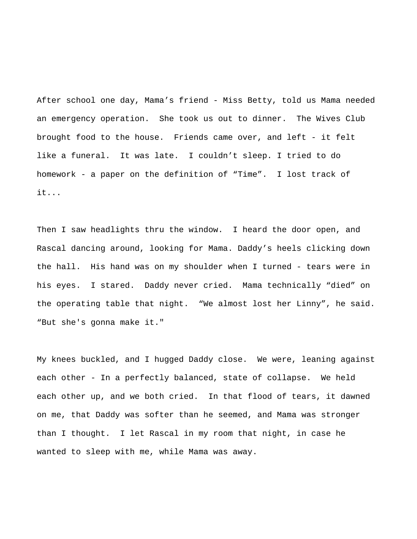After school one day, Mama's friend - Miss Betty, told us Mama needed an emergency operation. She took us out to dinner. The Wives Club brought food to the house. Friends came over, and left - it felt like a funeral. It was late. I couldn't sleep. I tried to do homework - a paper on the definition of "Time". I lost track of it...

Then I saw headlights thru the window. I heard the door open, and Rascal dancing around, looking for Mama. Daddy's heels clicking down the hall. His hand was on my shoulder when I turned - tears were in his eyes. I stared. Daddy never cried. Mama technically "died" on the operating table that night. "We almost lost her Linny", he said. "But she's gonna make it."

My knees buckled, and I hugged Daddy close. We were, leaning against each other - In a perfectly balanced, state of collapse. We held each other up, and we both cried. In that flood of tears, it dawned on me, that Daddy was softer than he seemed, and Mama was stronger than I thought. I let Rascal in my room that night, in case he wanted to sleep with me, while Mama was away.